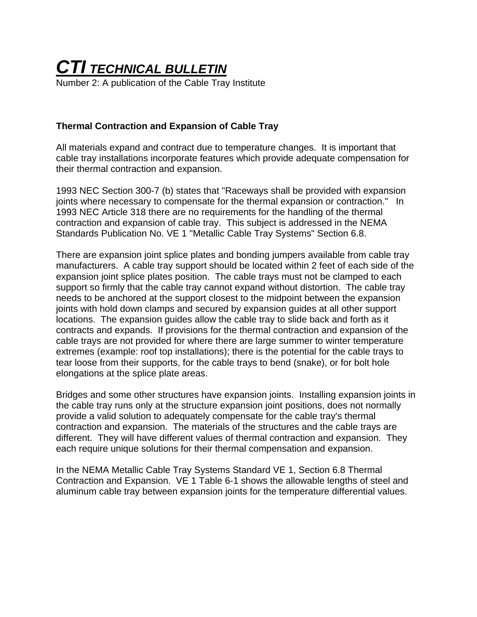## *CTI TECHNICAL BULLETIN*

Number 2: A publication of the Cable Tray Institute

## **Thermal Contraction and Expansion of Cable Tray**

All materials expand and contract due to temperature changes. It is important that cable tray installations incorporate features which provide adequate compensation for their thermal contraction and expansion.

1993 NEC Section 300-7 (b) states that "Raceways shall be provided with expansion joints where necessary to compensate for the thermal expansion or contraction." In 1993 NEC Article 318 there are no requirements for the handling of the thermal contraction and expansion of cable tray. This subject is addressed in the NEMA Standards Publication No. VE 1 "Metallic Cable Tray Systems" Section 6.8.

There are expansion joint splice plates and bonding jumpers available from cable tray manufacturers. A cable tray support should be located within 2 feet of each side of the expansion joint splice plates position. The cable trays must not be clamped to each support so firmly that the cable tray cannot expand without distortion. The cable tray needs to be anchored at the support closest to the midpoint between the expansion joints with hold down clamps and secured by expansion guides at all other support locations. The expansion guides allow the cable tray to slide back and forth as it contracts and expands. If provisions for the thermal contraction and expansion of the cable trays are not provided for where there are large summer to winter temperature extremes (example: roof top installations); there is the potential for the cable trays to tear loose from their supports, for the cable trays to bend (snake), or for bolt hole elongations at the splice plate areas.

Bridges and some other structures have expansion joints. Installing expansion joints in the cable tray runs only at the structure expansion joint positions, does not normally provide a valid solution to adequately compensate for the cable tray's thermal contraction and expansion. The materials of the structures and the cable trays are different. They will have different values of thermal contraction and expansion. They each require unique solutions for their thermal compensation and expansion.

In the NEMA Metallic Cable Tray Systems Standard VE 1, Section 6.8 Thermal Contraction and Expansion. VE 1 Table 6-1 shows the allowable lengths of steel and aluminum cable tray between expansion joints for the temperature differential values.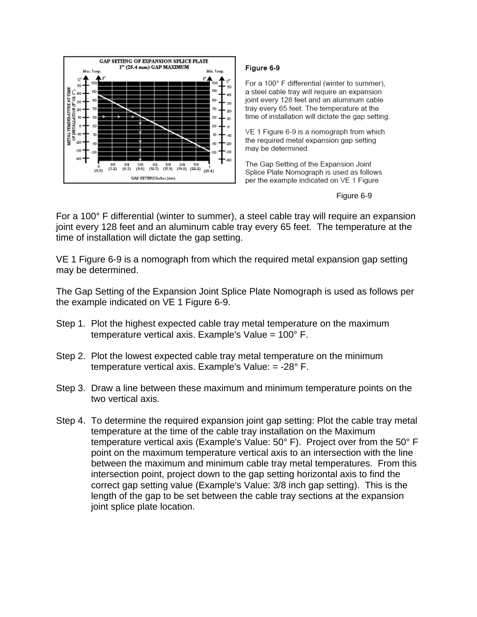

## Figure 6-9

For a 100° F differential (winter to summer). a steel cable tray will require an expansion joint every 128 feet and an aluminum cable tray every 65 feet. The temperature at the time of installation will dictate the gap setting.

VE 1 Figure 6-9 is a nomograph from which the required metal expansion gap setting may be determined.

The Gap Setting of the Expansion Joint Splice Plate Nomograph is used as follows per the example indicated on VE 1 Figure

Figure 6-9

For a 100° F differential (winter to summer), a steel cable tray will require an expansion joint every 128 feet and an aluminum cable tray every 65 feet. The temperature at the time of installation will dictate the gap setting.

VE 1 Figure 6-9 is a nomograph from which the required metal expansion gap setting may be determined.

The Gap Setting of the Expansion Joint Splice Plate Nomograph is used as follows per the example indicated on VE 1 Figure 6-9.

- Step 1. Plot the highest expected cable tray metal temperature on the maximum temperature vertical axis. Example's Value =  $100^{\circ}$  F.
- Step 2. Plot the lowest expected cable tray metal temperature on the minimum temperature vertical axis. Example's Value:  $= -28^{\circ}$  F.
- Step 3. Draw a line between these maximum and minimum temperature points on the two vertical axis.
- Step 4. To determine the required expansion joint gap setting: Plot the cable tray metal temperature at the time of the cable tray installation on the Maximum temperature vertical axis (Example's Value: 50° F). Project over from the 50° F point on the maximum temperature vertical axis to an intersection with the line between the maximum and minimum cable tray metal temperatures. From this intersection point, project down to the gap setting horizontal axis to find the correct gap setting value (Example's Value: 3/8 inch gap setting). This is the length of the gap to be set between the cable tray sections at the expansion joint splice plate location.